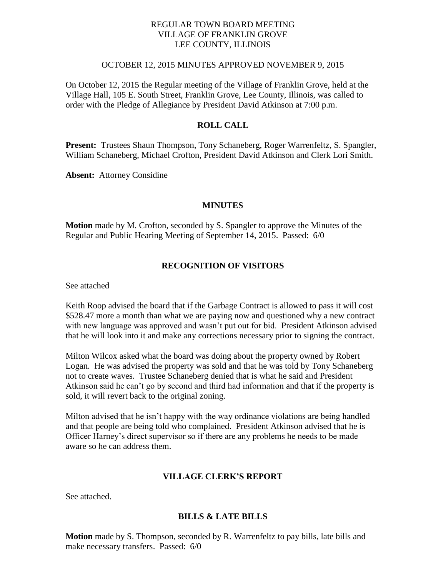# REGULAR TOWN BOARD MEETING VILLAGE OF FRANKLIN GROVE LEE COUNTY, ILLINOIS

## OCTOBER 12, 2015 MINUTES APPROVED NOVEMBER 9, 2015

On October 12, 2015 the Regular meeting of the Village of Franklin Grove, held at the Village Hall, 105 E. South Street, Franklin Grove, Lee County, Illinois, was called to order with the Pledge of Allegiance by President David Atkinson at 7:00 p.m.

## **ROLL CALL**

**Present:** Trustees Shaun Thompson, Tony Schaneberg, Roger Warrenfeltz, S. Spangler, William Schaneberg, Michael Crofton, President David Atkinson and Clerk Lori Smith.

**Absent:** Attorney Considine

#### **MINUTES**

**Motion** made by M. Crofton, seconded by S. Spangler to approve the Minutes of the Regular and Public Hearing Meeting of September 14, 2015. Passed: 6/0

### **RECOGNITION OF VISITORS**

See attached

Keith Roop advised the board that if the Garbage Contract is allowed to pass it will cost \$528.47 more a month than what we are paying now and questioned why a new contract with new language was approved and wasn't put out for bid. President Atkinson advised that he will look into it and make any corrections necessary prior to signing the contract.

Milton Wilcox asked what the board was doing about the property owned by Robert Logan. He was advised the property was sold and that he was told by Tony Schaneberg not to create waves. Trustee Schaneberg denied that is what he said and President Atkinson said he can't go by second and third had information and that if the property is sold, it will revert back to the original zoning.

Milton advised that he isn't happy with the way ordinance violations are being handled and that people are being told who complained. President Atkinson advised that he is Officer Harney's direct supervisor so if there are any problems he needs to be made aware so he can address them.

#### **VILLAGE CLERK'S REPORT**

See attached.

#### **BILLS & LATE BILLS**

**Motion** made by S. Thompson, seconded by R. Warrenfeltz to pay bills, late bills and make necessary transfers. Passed: 6/0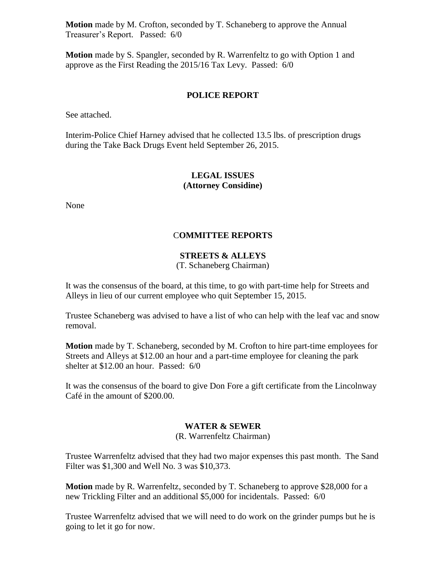**Motion** made by M. Crofton, seconded by T. Schaneberg to approve the Annual Treasurer's Report. Passed: 6/0

**Motion** made by S. Spangler, seconded by R. Warrenfeltz to go with Option 1 and approve as the First Reading the 2015/16 Tax Levy. Passed: 6/0

### **POLICE REPORT**

See attached.

Interim-Police Chief Harney advised that he collected 13.5 lbs. of prescription drugs during the Take Back Drugs Event held September 26, 2015.

# **LEGAL ISSUES (Attorney Considine)**

None

# C**OMMITTEE REPORTS**

# **STREETS & ALLEYS**

## (T. Schaneberg Chairman)

It was the consensus of the board, at this time, to go with part-time help for Streets and Alleys in lieu of our current employee who quit September 15, 2015.

Trustee Schaneberg was advised to have a list of who can help with the leaf vac and snow removal.

**Motion** made by T. Schaneberg, seconded by M. Crofton to hire part-time employees for Streets and Alleys at \$12.00 an hour and a part-time employee for cleaning the park shelter at \$12.00 an hour. Passed: 6/0

It was the consensus of the board to give Don Fore a gift certificate from the Lincolnway Café in the amount of \$200.00.

## **WATER & SEWER**

(R. Warrenfeltz Chairman)

Trustee Warrenfeltz advised that they had two major expenses this past month. The Sand Filter was \$1,300 and Well No. 3 was \$10,373.

**Motion** made by R. Warrenfeltz, seconded by T. Schaneberg to approve \$28,000 for a new Trickling Filter and an additional \$5,000 for incidentals. Passed: 6/0

Trustee Warrenfeltz advised that we will need to do work on the grinder pumps but he is going to let it go for now.